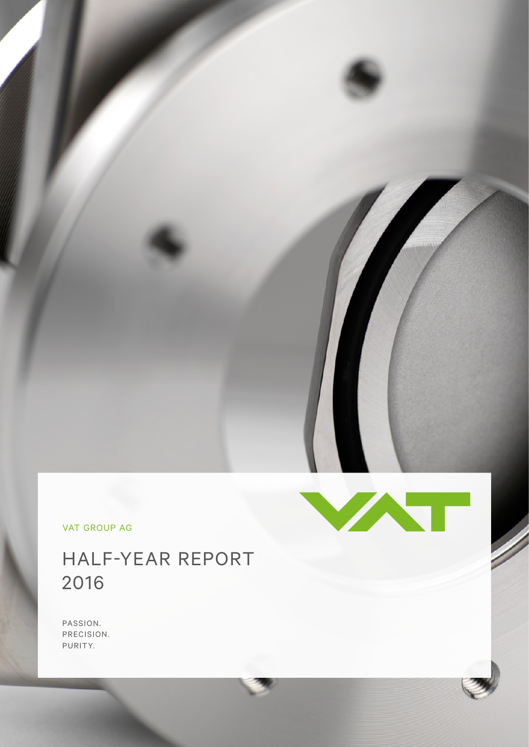VAT GROUP AG

# HALF-YEAR REPORT 2016

PASSION. PRECISION. PURITY.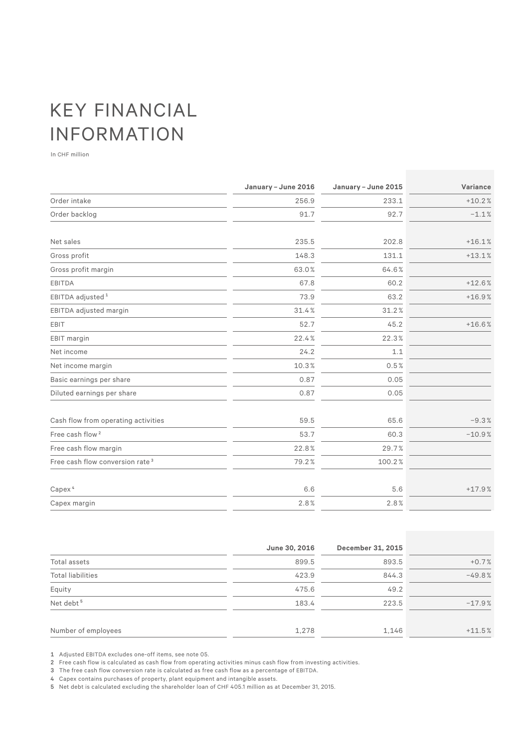# KEY FINANCIAL INFORMATION

In CHF million

|                                             | January - June 2016 | January - June 2015 | Variance |
|---------------------------------------------|---------------------|---------------------|----------|
| Order intake                                | 256.9               | 233.1               | $+10.2%$ |
| Order backlog                               | 91.7                | 92.7                | $-1.1%$  |
| Net sales                                   | 235.5               | 202.8               | $+16.1%$ |
| Gross profit                                | 148.3               | 131.1               | $+13.1%$ |
| Gross profit margin                         | 63.0%               | 64.6%               |          |
| EBITDA                                      | 67.8                | 60.2                | $+12.6%$ |
| EBITDA adjusted <sup>1</sup>                | 73.9                | 63.2                | $+16.9%$ |
| EBITDA adjusted margin                      | 31.4%               | 31.2%               |          |
| EBIT                                        | 52.7                | 45.2                | $+16.6%$ |
| EBIT margin                                 | 22.4%               | 22.3%               |          |
| Net income                                  | 24.2                | 1.1                 |          |
| Net income margin                           | 10.3%               | 0.5%                |          |
| Basic earnings per share                    | 0.87                | 0.05                |          |
| Diluted earnings per share                  | 0.87                | 0.05                |          |
| Cash flow from operating activities         | 59.5                | 65.6                | $-9.3%$  |
| Free cash flow <sup>2</sup>                 | 53.7                | 60.3                | $-10.9%$ |
| Free cash flow margin                       | 22.8%               | 29.7%               |          |
| Free cash flow conversion rate <sup>3</sup> | 79.2%               | 100.2%              |          |
| Capex <sup>4</sup>                          | 6.6                 | 5.6                 | $+17.9%$ |
| Capex margin                                | 2.8%                | 2.8%                |          |

|                          | June 30, 2016 | December 31, 2015 |          |
|--------------------------|---------------|-------------------|----------|
| Total assets             | 899.5         | 893.5             | $+0.7%$  |
| <b>Total liabilities</b> | 423.9         | 844.3             | $-49.8%$ |
| Equity                   | 475.6         | 49.2              |          |
| Net debt <sup>5</sup>    | 183.4         | 223.5             | $-17.9%$ |
| Number of employees      | 1,278         | 1,146             | $+11.5%$ |

1 Adjusted EBITDA excludes one-off items, see note 05.

2 Free cash flow is calculated as cash flow from operating activities minus cash flow from investing activities.

3 The free cash flow conversion rate is calculated as free cash flow as a percentage of EBITDA.

4 Capex contains purchases of property, plant equipment and intangible assets.

5 Net debt is calculated excluding the shareholder loan of CHF 405.1 million as at December 31, 2015.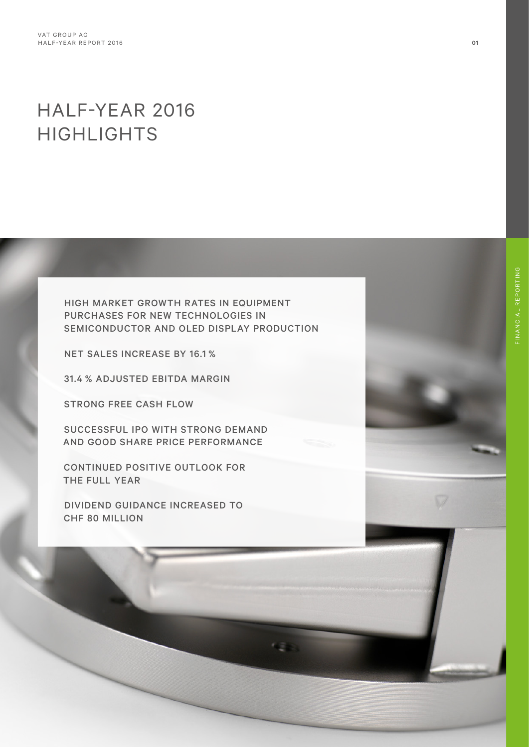# HALF-YEAR 2016 HIGHLIGHTS

HIGH MARKET GROWTH RATES IN EQUIPMENT PURCHASES FOR NEW TECHNOLOGIES IN SEMICONDUCTOR AND OLED DISPLAY PRODUCTION

NET SALES INCREASE BY 16.1 %

31.4 % ADJUSTED EBITDA MARGIN

STRONG FREE CASH FLOW

SUCCESSFUL IPO WITH STRONG DEMAND AND GOOD SHARE PRICE PERFORMANCE

CONTINUED POSITIVE OUTLOOK FOR THE FULL YEAR

DIVIDEND GUIDANCE INCREASED TO CHF 80 MILLION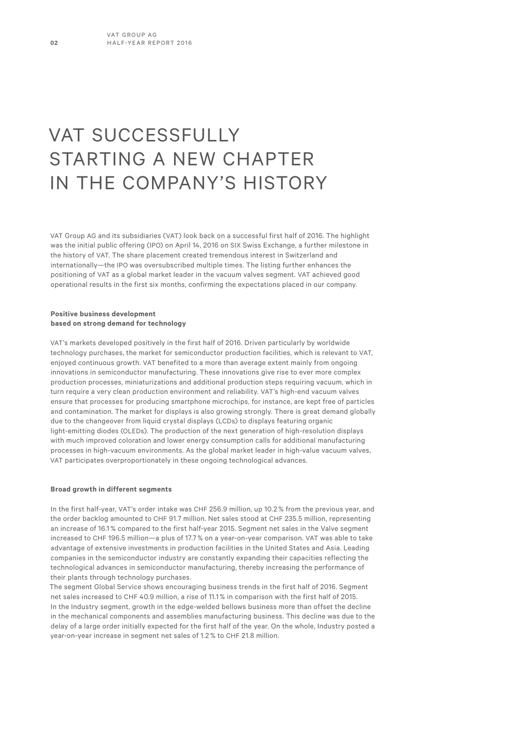# VAT SUCCESSFULLY STARTING A NEW CHAPTER IN THE COMPANY'S HISTORY

VAT Group AG and its subsidiaries (VAT) look back on a successful first half of 2016. The highlight was the initial public offering (IPO) on April 14, 2016 on SIX Swiss Exchange, a further milestone in the history of VAT. The share placement created tremendous interest in Switzerland and internationally—the IPO was oversubscribed multiple times. The listing further enhances the positioning of VAT as a global market leader in the vacuum valves segment. VAT achieved good operational results in the first six months, confirming the expectations placed in our company.

#### **Positive business development based on strong demand for technology**

VAT's markets developed positively in the first half of 2016. Driven particularly by worldwide technology purchases, the market for semiconductor production facilities, which is relevant to VAT, enjoyed continuous growth. VAT benefited to a more than average extent mainly from ongoing innovations in semiconductor manufacturing. These innovations give rise to ever more complex production processes, miniaturizations and additional production steps requiring vacuum, which in turn require a very clean production environment and reliability. VAT's high-end vacuum valves ensure that processes for producing smartphone microchips, for instance, are kept free of particles and contamination. The market for displays is also growing strongly. There is great demand globally due to the changeover from liquid crystal displays (LCDs) to displays featuring organic light-emitting diodes (OLEDs). The production of the next generation of high-resolution displays with much improved coloration and lower energy consumption calls for additional manufacturing processes in high-vacuum environments. As the global market leader in high-value vacuum valves, VAT participates overproportionately in these ongoing technological advances.

#### **Broad growth in different segments**

In the first half-year, VAT's order intake was CHF 256.9 million, up 10.2 % from the previous year, and the order backlog amounted to CHF 91.7 million. Net sales stood at CHF 235.5 million, representing an increase of 16.1 % compared to the first half-year 2015. Segment net sales in the Valve segment increased to CHF 196.5 million—a plus of 17.7 % on a year-on-year comparison. VAT was able to take advantage of extensive investments in production facilities in the United States and Asia. Leading companies in the semiconductor industry are constantly expanding their capacities reflecting the technological advances in semiconductor manufacturing, thereby increasing the performance of their plants through technology purchases.

The segment Global Service shows encouraging business trends in the first half of 2016. Segment net sales increased to CHF 40.9 million, a rise of 11.1 % in comparison with the first half of 2015. In the Industry segment, growth in the edge-welded bellows business more than offset the decline in the mechanical components and assemblies manufacturing business. This decline was due to the delay of a large order initially expected for the first half of the year. On the whole, Industry posted a year-on-year increase in segment net sales of 1.2 % to CHF 21.8 million.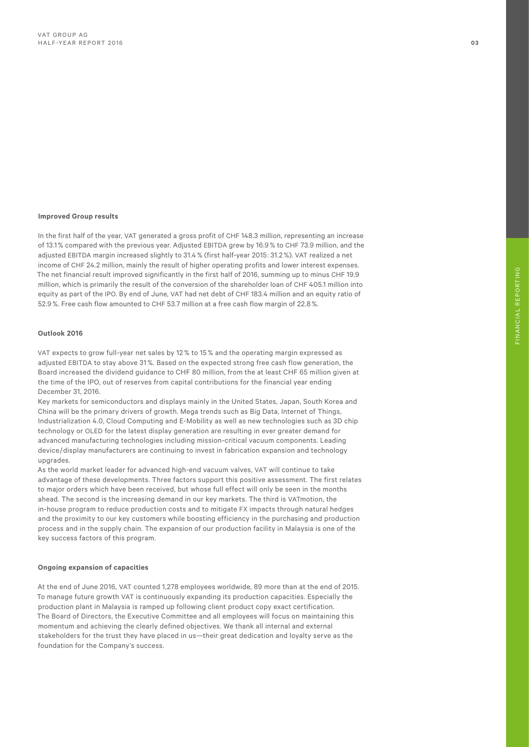#### **Improved Group results**

In the first half of the year, VAT generated a gross profit of CHF 148.3 million, representing an increase of 13.1% compared with the previous year. Adjusted EBITDA grew by 16.9% to CHF 73.9 million, and the adjusted EBITDA margin increased slightly to 31.4% (first half-year 2015: 31.2%). VAT realized a net income of CHF 24.2 million, mainly the result of higher operating profits and lower interest expenses. The net financial result improved significantly in the first half of 2016, summing up to minus CHF 19.9 million, which is primarily the result of the conversion of the shareholder loan of CHF 405.1 million into equity as part of the IPO. By end of June, VAT had net debt of CHF 183.4 million and an equity ratio of 52.9%. Free cash flow amounted to CHF 53.7 million at a free cash flow margin of 22.8%.

#### **Outlook 2016**

VAT expects to grow full-year net sales by 12 % to 15 % and the operating margin expressed as adjusted EBITDA to stay above 31 %. Based on the expected strong free cash flow generation, the Board increased the dividend guidance to CHF 80 million, from the at least CHF 65 million given at the time of the IPO, out of reserves from capital contributions for the financial year ending December 31, 2016.

Key markets for semiconductors and displays mainly in the United States, Japan, South Korea and China will be the primary drivers of growth. Mega trends such as Big Data, Internet of Things, Industrialization 4.0, Cloud Computing and E-Mobility as well as new technologies such as 3D chip technology or OLED for the latest display generation are resulting in ever greater demand for advanced manufacturing technologies including mission-critical vacuum components. Leading device/display manufacturers are continuing to invest in fabrication expansion and technology upgrades.

As the world market leader for advanced high-end vacuum valves, VAT will continue to take advantage of these developments. Three factors support this positive assessment. The first relates to major orders which have been received, but whose full effect will only be seen in the months ahead. The second is the increasing demand in our key markets. The third is VATmotion, the in-house program to reduce production costs and to mitigate FX impacts through natural hedges and the proximity to our key customers while boosting efficiency in the purchasing and production process and in the supply chain. The expansion of our production facility in Malaysia is one of the key success factors of this program.

#### **Ongoing expansion of capacities**

At the end of June 2016, VAT counted 1,278 employees worldwide, 89 more than at the end of 2015. To manage future growth VAT is continuously expanding its production capacities. Especially the production plant in Malaysia is ramped up following client product copy exact certification. The Board of Directors, the Executive Committee and all employees will focus on maintaining this momentum and achieving the clearly defined objectives. We thank all internal and external stakeholders for the trust they have placed in us—their great dedication and loyalty serve as the foundation for the Company's success.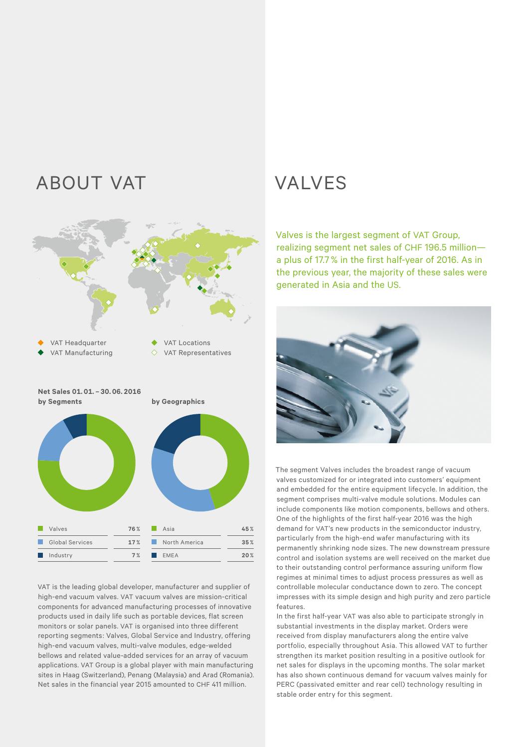# ABOUT VAT VALVES



VAT is the leading global developer, manufacturer and supplier of high-end vacuum valves. VAT vacuum valves are mission-critical components for advanced manufacturing processes of innovative products used in daily life such as portable devices, flat screen monitors or solar panels. VAT is organised into three different reporting segments: Valves, Global Service and Industry, offering high-end vacuum valves, multi-valve modules, edge-welded bellows and related value-added services for an array of vacuum applications. VAT Group is a global player with main manufacturing sites in Haag (Switzerland), Penang (Malaysia) and Arad (Romania). Net sales in the financial year 2015 amounted to CHF 411 million.

Valves is the largest segment of VAT Group, realizing segment net sales of CHF 196.5 million a plus of 17.7% in the first half-year of 2016. As in the previous year, the majority of these sales were generated in Asia and the US.



The segment Valves includes the broadest range of vacuum valves customized for or integrated into customers' equipment and embedded for the entire equipment lifecycle. In addition, the segment comprises multi-valve module solutions. Modules can include components like motion components, bellows and others. One of the highlights of the first half-year 2016 was the high demand for VAT's new products in the semiconductor industry, particularly from the high-end wafer manufacturing with its permanently shrinking node sizes. The new downstream pressure control and isolation systems are well received on the market due to their outstanding control performance assuring uniform flow regimes at minimal times to adjust process pressures as well as controllable molecular conductance down to zero. The concept impresses with its simple design and high purity and zero particle features.

In the first half-year VAT was also able to participate strongly in substantial investments in the display market. Orders were received from display manufacturers along the entire valve portfolio, especially throughout Asia. This allowed VAT to further strengthen its market position resulting in a positive outlook for net sales for displays in the upcoming months. The solar market has also shown continuous demand for vacuum valves mainly for PERC (passivated emitter and rear cell) technology resulting in stable order entry for this segment.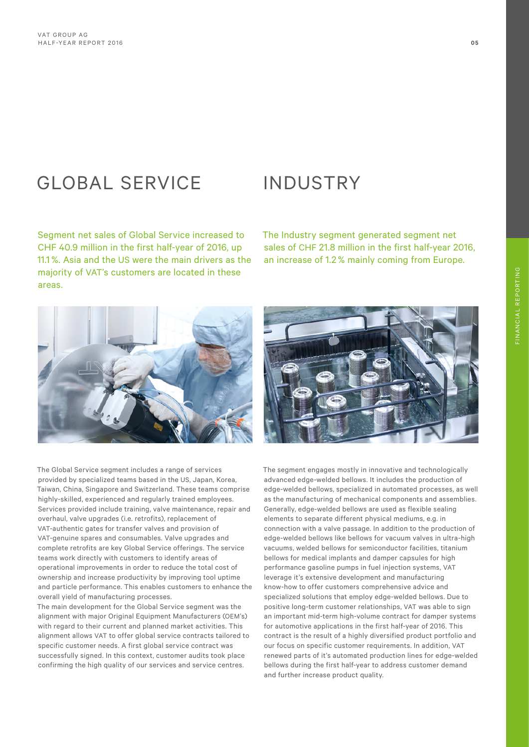# GLOBAL SERVICE INDUSTRY

Segment net sales of Global Service increased to CHF 40.9 million in the first half-year of 2016, up 11.1%. Asia and the US were the main drivers as the majority of VAT's customers are located in these areas.

The Industry segment generated segment net sales of CHF 21.8 million in the first half-year 2016, an increase of 1.2% mainly coming from Europe.

The Global Service segment includes a range of services provided by specialized teams based in the US, Japan, Korea, Taiwan, China, Singapore and Switzerland. These teams comprise highly-skilled, experienced and regularly trained employees. Services provided include training, valve maintenance, repair and overhaul, valve upgrades (i.e. retrofits), replacement of VAT-authentic gates for transfer valves and provision of VAT-genuine spares and consumables. Valve upgrades and complete retrofits are key Global Service offerings. The service teams work directly with customers to identify areas of operational improvements in order to reduce the total cost of ownership and increase productivity by improving tool uptime and particle performance. This enables customers to enhance the overall yield of manufacturing processes.

The main development for the Global Service segment was the alignment with major Original Equipment Manufacturers (OEM's) with regard to their current and planned market activities. This alignment allows VAT to offer global service contracts tailored to specific customer needs. A first global service contract was successfully signed. In this context, customer audits took place confirming the high quality of our services and service centres.





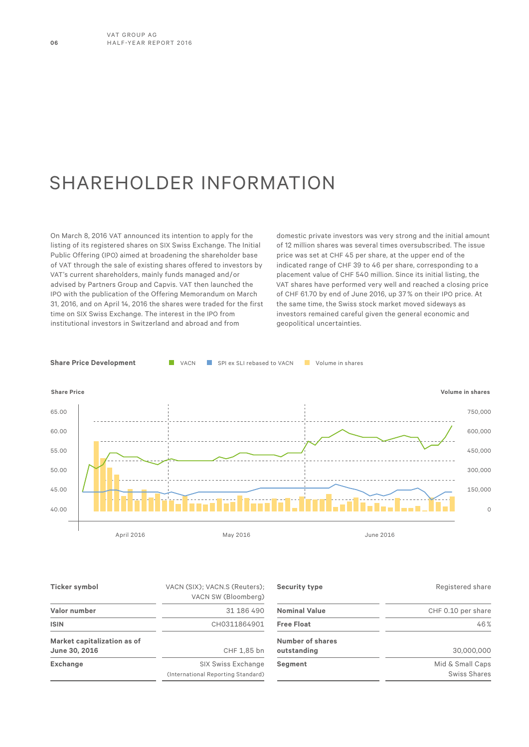# SHAREHOLDER INFORMATION

On March 8, 2016 VAT announced its intention to apply for the listing of its registered shares on SIX Swiss Exchange. The Initial Public Offering (IPO) aimed at broadening the shareholder base of VAT through the sale of existing shares offered to investors by VAT's current shareholders, mainly funds managed and/or advised by Partners Group and Capvis. VAT then launched the IPO with the publication of the Offering Memorandum on March 31, 2016, and on April 14, 2016 the shares were traded for the first time on SIX Swiss Exchange. The interest in the IPO from institutional investors in Switzerland and abroad and from

domestic private investors was very strong and the initial amount of 12 million shares was several times oversubscribed. The issue price was set at CHF 45 per share, at the upper end of the indicated range of CHF 39 to 46 per share, corresponding to a placement value of CHF 540 million. Since its initial listing, the VAT shares have performed very well and reached a closing price of CHF 61.70 by end of June 2016, up 37 % on their IPO price. At the same time, the Swiss stock market moved sideways as investors remained careful given the general economic and geopolitical uncertainties.



| Ticker symbol                                | VACN (SIX); VACN.S (Reuters);<br>VACN SW (Bloomberg)     | Security type                   | Registered share                        |
|----------------------------------------------|----------------------------------------------------------|---------------------------------|-----------------------------------------|
| Valor number                                 | 31 186 490                                               | <b>Nominal Value</b>            | CHF 0.10 per share                      |
| <b>ISIN</b>                                  | CH0311864901                                             | <b>Free Float</b>               | 46%                                     |
| Market capitalization as of<br>June 30, 2016 | CHF 1,85 bn                                              | Number of shares<br>outstanding | 30,000,000                              |
| <b>Exchange</b>                              | SIX Swiss Exchange<br>(International Reporting Standard) | Segment                         | Mid & Small Caps<br><b>Swiss Shares</b> |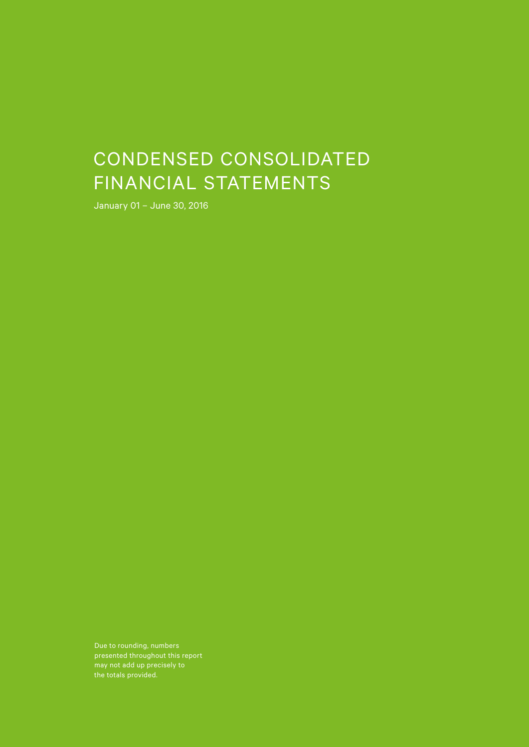# CONDENSED CONSOLIDATED FINANCIAL STATEMENTS

January 01 – June 30, 2016

Due to rounding, numbers presented throughout this report may not add up precisely to the totals provided.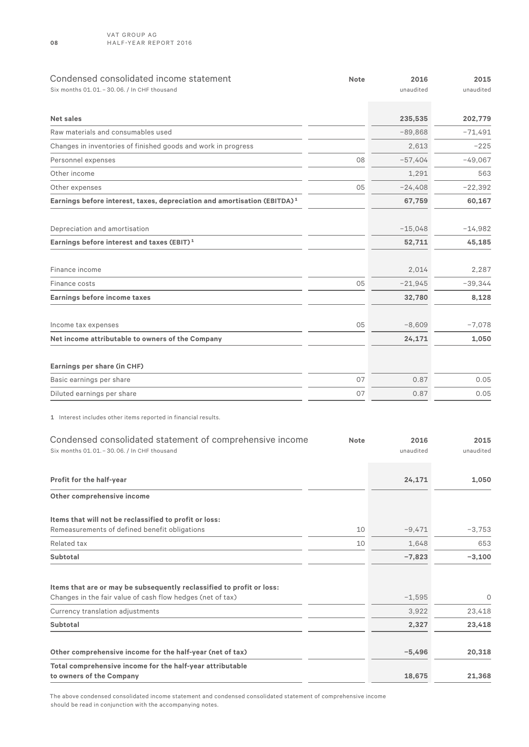| Condensed consolidated income statement<br>Six months 01.01. - 30.06. / In CHF thousand                                             | <b>Note</b> | 2016<br>unaudited | 2015<br>unaudited |
|-------------------------------------------------------------------------------------------------------------------------------------|-------------|-------------------|-------------------|
|                                                                                                                                     |             |                   |                   |
| <b>Net sales</b>                                                                                                                    |             | 235,535           | 202,779           |
| Raw materials and consumables used                                                                                                  |             | $-89,868$         | $-71,491$         |
| Changes in inventories of finished goods and work in progress                                                                       |             | 2,613             | $-225$            |
| Personnel expenses                                                                                                                  | 08          | $-57.404$         | $-49,067$         |
| Other income                                                                                                                        |             | 1,291             | 563               |
| Other expenses                                                                                                                      | 05          | $-24,408$         | $-22,392$         |
| Earnings before interest, taxes, depreciation and amortisation (EBITDA) <sup>1</sup>                                                |             | 67,759            | 60,167            |
|                                                                                                                                     |             |                   |                   |
| Depreciation and amortisation                                                                                                       |             | $-15,048$         | $-14,982$         |
| Earnings before interest and taxes (EBIT) <sup>1</sup>                                                                              |             | 52,711            | 45,185            |
| Finance income                                                                                                                      |             | 2,014             | 2,287             |
| Finance costs                                                                                                                       | 05          | $-21,945$         | $-39,344$         |
| Earnings before income taxes                                                                                                        |             | 32,780            | 8,128             |
|                                                                                                                                     |             |                   |                   |
| Income tax expenses                                                                                                                 | 05          | $-8,609$          | $-7,078$          |
| Net income attributable to owners of the Company                                                                                    |             | 24,171            | 1,050             |
|                                                                                                                                     |             |                   |                   |
| Earnings per share (in CHF)                                                                                                         |             |                   |                   |
| Basic earnings per share                                                                                                            | 07          | 0.87              | 0.05              |
| Diluted earnings per share                                                                                                          | 07          | 0.87              | 0.05              |
| 1 Interest includes other items reported in financial results.                                                                      |             |                   |                   |
| Condensed consolidated statement of comprehensive income<br>Six months 01.01. - 30.06. / In CHF thousand                            | <b>Note</b> | 2016<br>unaudited | 2015<br>unaudited |
| Profit for the half-year                                                                                                            |             | 24,171            | 1,050             |
| Other comprehensive income                                                                                                          |             |                   |                   |
| Items that will not be reclassified to profit or loss:                                                                              |             |                   |                   |
| Remeasurements of defined benefit obligations                                                                                       | 10          | $-9,471$          | $-3,753$          |
| Related tax                                                                                                                         | 10          | 1,648             | 653               |
| <b>Subtotal</b>                                                                                                                     |             | $-7,823$          | $-3,100$          |
|                                                                                                                                     |             |                   |                   |
| Items that are or may be subsequently reclassified to profit or loss:<br>Changes in the fair value of cash flow hedges (net of tax) |             | $-1,595$          | 0                 |
| Currency translation adjustments                                                                                                    |             | 3,922             | 23,418            |
| Subtotal                                                                                                                            |             | 2,327             | 23,418            |
|                                                                                                                                     |             |                   |                   |
| Other comprehensive income for the half-year (net of tax)                                                                           |             | $-5,496$          | 20,318            |
| Total comprehensive income for the half-year attributable<br>to owners of the Company                                               |             | 18,675            | 21,368            |

The above condensed consolidated income statement and condensed consolidated statement of comprehensive income should be read in conjunction with the accompanying notes.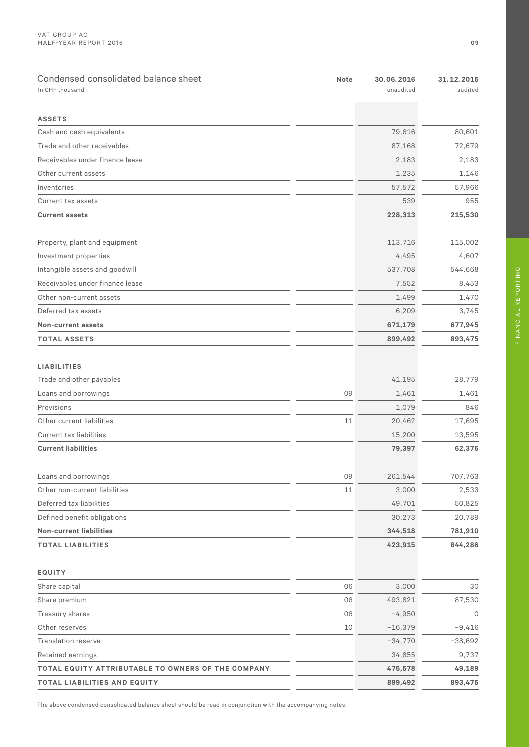| Condensed consolidated balance sheet<br>In CHF thousand | <b>Note</b> | 30.06.2016<br>unaudited | 31.12.2015<br>audited |
|---------------------------------------------------------|-------------|-------------------------|-----------------------|
|                                                         |             |                         |                       |
| <b>ASSETS</b>                                           |             |                         |                       |
| Cash and cash equivalents                               |             | 79,616                  | 80,601                |
| Trade and other receivables                             |             | 87,168                  | 72,679                |
| Receivables under finance lease                         |             | 2,183                   | 2,183                 |
| Other current assets                                    |             | 1,235                   | 1,146                 |
| Inventories                                             |             | 57,572                  | 57,966                |
| Current tax assets                                      |             | 539                     | 955                   |
| <b>Current assets</b>                                   |             | 228,313                 | 215,530               |
| Property, plant and equipment                           |             | 113,716                 | 115,002               |
| Investment properties                                   |             | 4,495                   | 4,607                 |
| Intangible assets and goodwill                          |             | 537,708                 | 544,668               |
| Receivables under finance lease                         |             | 7,552                   | 8,453                 |
| Other non-current assets                                |             | 1,499                   | 1,470                 |
| Deferred tax assets                                     |             | 6,209                   | 3,745                 |
| <b>Non-current assets</b>                               |             | 671,179                 | 677,945               |
| <b>TOTAL ASSETS</b>                                     |             | 899,492                 | 893,475               |
|                                                         |             |                         |                       |
| <b>LIABILITIES</b>                                      |             |                         |                       |
| Trade and other payables                                |             | 41,195                  | 28,779                |
| Loans and borrowings                                    | 09          | 1,461                   | 1,461                 |
| Provisions                                              |             | 1,079                   | 846                   |
| Other current liabilities                               | 11          | 20,462                  | 17,695                |
| Current tax liabilities                                 |             | 15,200                  | 13,595                |
| <b>Current liabilities</b>                              |             | 79,397                  | 62,376                |
|                                                         |             |                         |                       |
| Loans and borrowings                                    | 09          | 261,544                 | 707,763               |
| Other non-current liabilities                           | 11          | 3,000                   | 2,533                 |
| Deferred tax liabilities                                |             | 49,701                  | 50,825                |
| Defined benefit obligations                             |             | 30,273                  | 20,789                |
| <b>Non-current liabilities</b>                          |             | 344,518                 | 781,910               |
| <b>TOTAL LIABILITIES</b>                                |             | 423,915                 | 844,286               |
|                                                         |             |                         |                       |
| EQUITY                                                  |             |                         |                       |
| Share capital                                           | 06          | 3,000                   | 30                    |
| Share premium                                           | 06          | 493,821                 | 87,530                |
| Treasury shares                                         | 06          | $-4,950$                | $\circ$               |
| Other reserves                                          | 10          | $-16,379$               | $-9,416$              |
| <b>Translation reserve</b>                              |             | $-34,770$               | $-38,692$             |
| Retained earnings                                       |             | 34,855                  | 9,737                 |
| TOTAL EQUITY ATTRIBUTABLE TO OWNERS OF THE COMPANY      |             | 475,578                 | 49,189                |
| TOTAL LIABILITIES AND EQUITY                            |             | 899,492                 | 893,475               |

FINANCIAL REPORTING

The above condensed consolidated balance sheet should be read in conjunction with the accompanying notes.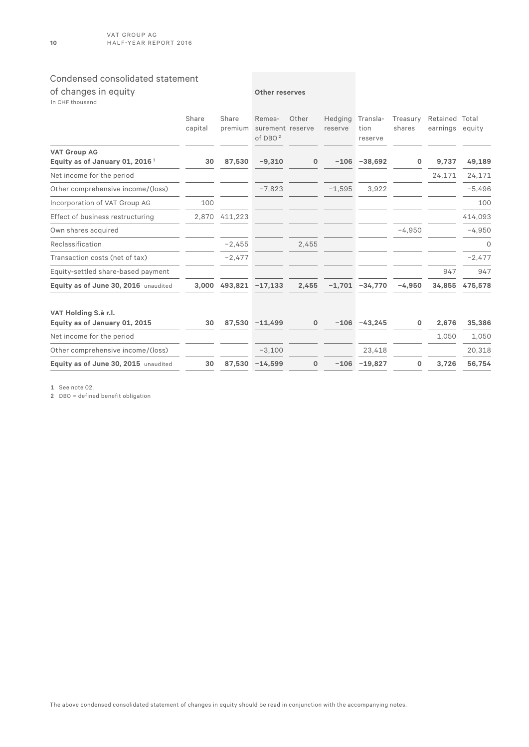# Condensed consolidated statement

| of changes in equity<br>In CHF thousand                   |                  |                  | Other reserves                            |       |                    |                             |                    |                            |          |
|-----------------------------------------------------------|------------------|------------------|-------------------------------------------|-------|--------------------|-----------------------------|--------------------|----------------------------|----------|
|                                                           | Share<br>capital | Share<br>premium | Remea-<br>surement reserve<br>of DBO $^2$ | Other | Hedging<br>reserve | Transla-<br>tion<br>reserve | Treasury<br>shares | Retained Total<br>earnings | equity   |
| <b>VAT Group AG</b><br>Equity as of January 01, 2016 $^1$ | 30               | 87,530           | $-9,310$                                  | 0     | $-106$             | $-38,692$                   | 0                  | 9,737                      | 49,189   |
| Net income for the period                                 |                  |                  |                                           |       |                    |                             |                    | 24,171                     | 24,171   |
| Other comprehensive income/(loss)                         |                  |                  | $-7,823$                                  |       | $-1,595$           | 3,922                       |                    |                            | $-5,496$ |
| Incorporation of VAT Group AG                             | 100              |                  |                                           |       |                    |                             |                    |                            | 100      |
| Effect of business restructuring                          | 2,870            | 411,223          |                                           |       |                    |                             |                    |                            | 414,093  |
| Own shares acquired                                       |                  |                  |                                           |       |                    |                             | $-4,950$           |                            | $-4,950$ |
| Reclassification                                          |                  | $-2,455$         |                                           | 2,455 |                    |                             |                    |                            | $\circ$  |
| Transaction costs (net of tax)                            |                  | $-2,477$         |                                           |       |                    |                             |                    |                            | $-2,477$ |
| Equity-settled share-based payment                        |                  |                  |                                           |       |                    |                             |                    | 947                        | 947      |
| Equity as of June 30, 2016 unaudited                      | 3,000            | 493,821          | $-17,133$                                 | 2,455 | $-1,701$           | $-34,770$                   | $-4,950$           | 34,855                     | 475,578  |
| VAT Holding S.à r.l.<br>Equity as of January 01, 2015     | 30               | 87.530           | $-11,499$                                 | 0     |                    | $-106 -43,245$              | 0                  | 2,676                      | 35,386   |
| Net income for the period                                 |                  |                  |                                           |       |                    |                             |                    | 1,050                      | 1,050    |
| Other comprehensive income/(loss)                         |                  |                  | $-3,100$                                  |       |                    | 23,418                      |                    |                            | 20,318   |
| Equity as of June 30, 2015 unaudited                      | 30               | 87,530           | $-14,599$                                 | 0     |                    | $-106 - 19,827$             | $\mathbf 0$        | 3,726                      | 56,754   |

1 See note 02.

2 DBO = defined benefit obligation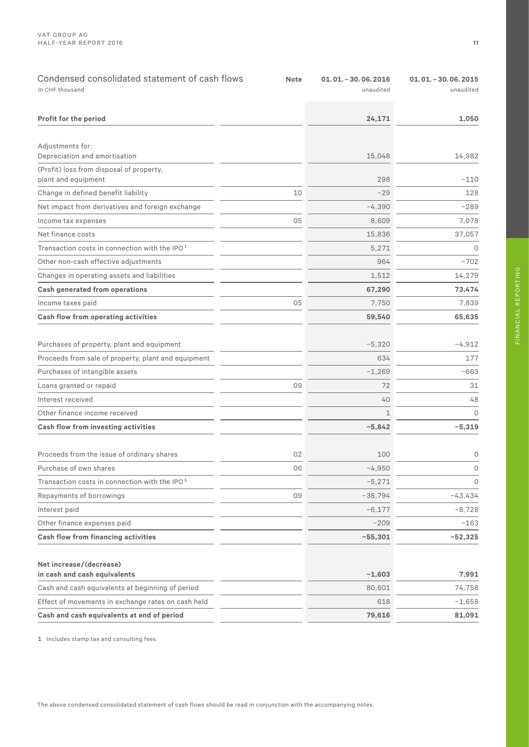| Condensed consolidated statement of cash flows<br>In CHF thousand | <b>Note</b> | $01.01. - 30.06.2016$<br>unaudited | $01.01. - 30.06.2015$<br>unaudited |
|-------------------------------------------------------------------|-------------|------------------------------------|------------------------------------|
| Profit for the period                                             |             | 24,171                             | 1,050                              |
| Adjustments for:<br>Depreciation and amortisation                 |             | 15,048                             | 14,982                             |
| (Profit) loss from disposal of property,<br>plant and equipment   |             | 298                                | $-110$                             |
| Change in defined benefit liability                               | 10          | $-29$                              | 128                                |
| Net impact from derivatives and foreign exchange                  |             | $-4,390$                           | $-289$                             |
| Income tax expenses                                               | 05          | 8,609                              | 7,078                              |
| Net finance costs                                                 |             | 15,836                             | 37,057                             |
| Transaction costs in connection with the IPO <sup>1</sup>         |             | 5,271                              | $\circ$                            |
| Other non-cash effective adjustments                              |             | 964                                | $-702$                             |
| Changes in operating assets and liabilities                       |             | 1,512                              | 14,279                             |
| <b>Cash generated from operations</b>                             |             | 67,290                             | 73,474                             |
| Income taxes paid                                                 | 05          | 7,750                              | 7,839                              |
| Cash flow from operating activities                               |             | 59,540                             | 65,635                             |
| Purchases of property, plant and equipment                        |             | $-5,320$                           | $-4,912$                           |
| Proceeds from sale of property, plant and equipment               |             | 634                                | 177                                |
| Purchases of intangible assets                                    |             | $-1,269$                           | -663                               |
| Loans granted or repaid                                           | 09          | 72                                 | 31                                 |
| Interest received                                                 |             | 40                                 | 48                                 |
| Other finance income received                                     |             | $\mathbf 1$                        | $\circ$                            |
| Cash flow from investing activities                               |             | $-5,842$                           | $-5,319$                           |
| Proceeds from the issue of ordinary shares                        | 02          | 100                                | 0                                  |
| Purchase of own shares                                            | 06          | $-4,950$                           | 0                                  |
| Transaction costs in connection with the IPO <sup>1</sup>         |             | $-5,271$                           | $\circ$                            |
| Repayments of borrowings                                          | 09          | $-38,794$                          | $-43,434$                          |
| Interest paid                                                     |             | $-6,177$                           | $-8,728$                           |
| Other finance expenses paid                                       |             | $-209$                             | $-163$                             |
| Cash flow from financing activities                               |             | $-55,301$                          | $-52,325$                          |
| Net increase/(decrease)<br>in cash and cash equivalents           |             | $-1,603$                           | 7,991                              |
| Cash and cash equivalents at beginning of period                  |             | 80,601                             | 74,758                             |
| Effect of movements in exchange rates on cash held                |             | 618                                | $-1,658$                           |
| Cash and cash equivalents at end of period                        |             | 79,616                             | 81,091                             |

1 Includes stamp tax and consulting fees.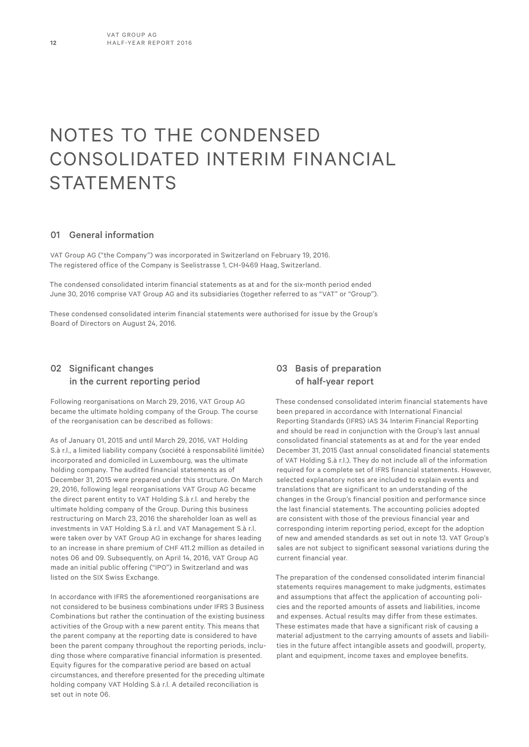# NOTES TO THE CONDENSED CONSOLIDATED INTERIM FINANCIAL **STATEMENTS**

### 01 General information

VAT Group AG ("the Company") was incorporated in Switzerland on February 19, 2016. The registered office of the Company is Seelistrasse 1, CH-9469 Haag, Switzerland.

The condensed consolidated interim financial statements as at and for the six-month period ended June 30, 2016 comprise VAT Group AG and its subsidiaries (together referred to as "VAT" or "Group").

These condensed consolidated interim financial statements were authorised for issue by the Group's Board of Directors on August 24, 2016.

# 02 Significant changes in the current reporting period

Following reorganisations on March 29, 2016, VAT Group AG became the ultimate holding company of the Group. The course of the reorganisation can be described as follows:

As of January 01, 2015 and until March 29, 2016, VAT Holding S.à r.l., a limited liability company (société à responsabilité limitée) incorporated and domiciled in Luxembourg, was the ultimate holding company. The audited financial statements as of December 31, 2015 were prepared under this structure. On March 29, 2016, following legal reorganisations VAT Group AG became the direct parent entity to VAT Holding S.à r.l. and hereby the ultimate holding company of the Group. During this business restructuring on March 23, 2016 the shareholder loan as well as investments in VAT Holding S.à r.l. and VAT Management S.à r.l. were taken over by VAT Group AG in exchange for shares leading to an increase in share premium of CHF 411.2 million as detailed in notes 06 and 09. Subsequently, on April 14, 2016, VAT Group AG made an initial public offering ("IPO") in Switzerland and was listed on the SIX Swiss Exchange.

In accordance with IFRS the aforementioned reorganisations are not considered to be business combinations under IFRS 3 Business Combinations but rather the continuation of the existing business activities of the Group with a new parent entity. This means that the parent company at the reporting date is considered to have been the parent company throughout the reporting periods, including those where comparative financial information is presented. Equity figures for the comparative period are based on actual circumstances, and therefore presented for the preceding ultimate holding company VAT Holding S.à r.l. A detailed reconciliation is set out in note 06.

# 03 Basis of preparation of half-year report

These condensed consolidated interim financial statements have been prepared in accordance with International Financial Reporting Standards (IFRS) IAS 34 Interim Financial Reporting and should be read in conjunction with the Group's last annual consolidated financial statements as at and for the year ended December 31, 2015 (last annual consolidated financial statements of VAT Holding S.à r.l.). They do not include all of the information required for a complete set of IFRS financial statements. However, selected explanatory notes are included to explain events and translations that are significant to an understanding of the changes in the Group's financial position and performance since the last financial statements. The accounting policies adopted are consistent with those of the previous financial year and corresponding interim reporting period, except for the adoption of new and amended standards as set out in note 13. VAT Group's sales are not subject to significant seasonal variations during the current financial year.

The preparation of the condensed consolidated interim financial statements requires management to make judgments, estimates and assumptions that affect the application of accounting policies and the reported amounts of assets and liabilities, income and expenses. Actual results may differ from these estimates. These estimates made that have a significant risk of causing a material adjustment to the carrying amounts of assets and liabilities in the future affect intangible assets and goodwill, property, plant and equipment, income taxes and employee benefits.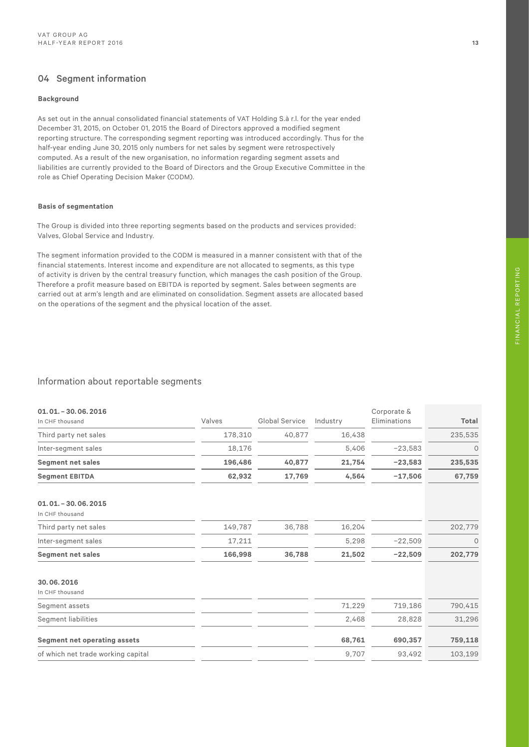# 04 Segment information

#### **Background**

As set out in the annual consolidated financial statements of VAT Holding S.à r.l. for the year ended December 31, 2015, on October 01, 2015 the Board of Directors approved a modified segment reporting structure. The corresponding segment reporting was introduced accordingly. Thus for the half-year ending June 30, 2015 only numbers for net sales by segment were retrospectively computed. As a result of the new organisation, no information regarding segment assets and liabilities are currently provided to the Board of Directors and the Group Executive Committee in the role as Chief Operating Decision Maker (CODM).

#### **Basis of segmentation**

The Group is divided into three reporting segments based on the products and services provided: Valves, Global Service and Industry.

The segment information provided to the CODM is measured in a manner consistent with that of the financial statements. Interest income and expenditure are not allocated to segments, as this type of activity is driven by the central treasury function, which manages the cash position of the Group. Therefore a profit measure based on EBITDA is reported by segment. Sales between segments are carried out at arm's length and are eliminated on consolidation. Segment assets are allocated based on the operations of the segment and the physical location of the asset.

### Information about reportable segments

| $01.01. - 30.06.2016$<br>In CHF thousand | Valves  | Global Service | Industry | Corporate &<br>Eliminations | Total   |
|------------------------------------------|---------|----------------|----------|-----------------------------|---------|
| Third party net sales                    | 178,310 | 40,877         | 16,438   |                             | 235,535 |
| Inter-segment sales                      | 18,176  |                | 5,406    | $-23,583$                   | 0       |
| <b>Segment net sales</b>                 | 196,486 | 40,877         | 21,754   | $-23,583$                   | 235,535 |
| <b>Segment EBITDA</b>                    | 62,932  | 17,769         | 4,564    | $-17,506$                   | 67,759  |
| $01.01. - 30.06.2015$<br>In CHF thousand |         |                |          |                             |         |
| Third party net sales                    | 149,787 | 36,788         | 16,204   |                             | 202,779 |
| Inter-segment sales                      | 17,211  |                | 5,298    | $-22,509$                   | 0       |
| <b>Segment net sales</b>                 | 166,998 | 36,788         | 21,502   | $-22,509$                   | 202,779 |
| 30.06.2016<br>In CHF thousand            |         |                |          |                             |         |
| Segment assets                           |         |                | 71,229   | 719,186                     | 790,415 |
| <b>Segment liabilities</b>               |         |                | 2,468    | 28,828                      | 31,296  |
| <b>Segment net operating assets</b>      |         |                | 68,761   | 690,357                     | 759,118 |
| of which net trade working capital       |         |                | 9,707    | 93,492                      | 103,199 |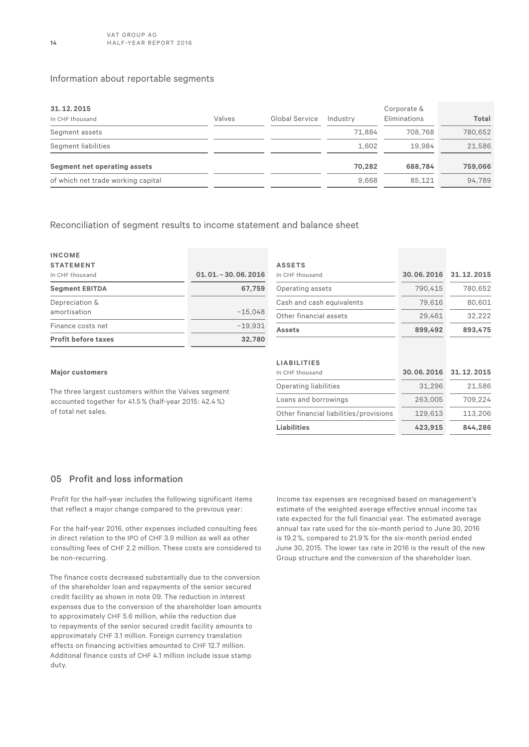### Information about reportable segments

| 31.12.2015<br>In CHF thousand      | Valves | Global Service | Industry | Corporate &<br>Eliminations | <b>Total</b> |
|------------------------------------|--------|----------------|----------|-----------------------------|--------------|
| Segment assets                     |        |                | 71.884   | 708.768                     | 780.652      |
| Segment liabilities                |        |                | 1.602    | 19.984                      | 21.586       |
| Segment net operating assets       |        |                | 70.282   | 688,784                     | 759,066      |
| of which net trade working capital |        |                | 9.668    | 85.121                      | 94.789       |

Reconciliation of segment results to income statement and balance sheet

| <b>INCOME</b><br><b>STATEMENT</b> |                      |
|-----------------------------------|----------------------|
| In CHF thousand                   | $01.01 - 30.06 2016$ |
| <b>Segment EBITDA</b>             | 67,759               |
| Depreciation &<br>amortisation    | $-15.048$            |
| Finance costs net                 | $-19.931$            |
| <b>Profit before taxes</b>        | 32.780               |

#### **Major customers**

The three largest customers within the Valves segment accounted together for 41.5 % (half-year 2015: 42.4 %) of total net sales.

#### **LIABILITIES**

**ASSETS**

| In CHF thousand                        | 30.06.2016 | 31.12.2015 |
|----------------------------------------|------------|------------|
| <b>Operating liabilities</b>           | 31,296     | 21,586     |
| Loans and borrowings                   | 263,005    | 709.224    |
| Other financial liabilities/provisions | 129,613    | 113,206    |
| <b>Liabilities</b>                     | 423.915    | 844,286    |

In CHF thousand **30. 06. 2016 31. 12. 2015** Operating assets 790,415 780,652 Cash and cash equivalents 79,616 80,601 Other financial assets 29,461 32,222 **Assets 899,492 893,475**

### 05 Profit and loss information

Profit for the half-year includes the following significant items that reflect a major change compared to the previous year:

For the half-year 2016, other expenses included consulting fees in direct relation to the IPO of CHF 3.9 million as well as other consulting fees of CHF 2.2 million. These costs are considered to be non-recurring.

The finance costs decreased substantially due to the conversion of the shareholder loan and repayments of the senior secured credit facility as shown in note 09. The reduction in interest expenses due to the conversion of the shareholder loan amounts to approximately CHF 5.6 million, while the reduction due to repayments of the senior secured credit facility amounts to approximately CHF 3.1 million. Foreign currency translation effects on financing activities amounted to CHF 12.7 million. Additonal finance costs of CHF 4.1 million include issue stamp duty.

Income tax expenses are recognised based on management's estimate of the weighted average effective annual income tax rate expected for the full financial year. The estimated average annual tax rate used for the six-month period to June 30, 2016 is 19.2 %, compared to 21.9 % for the six-month period ended June 30, 2015. The lower tax rate in 2016 is the result of the new Group structure and the conversion of the shareholder loan.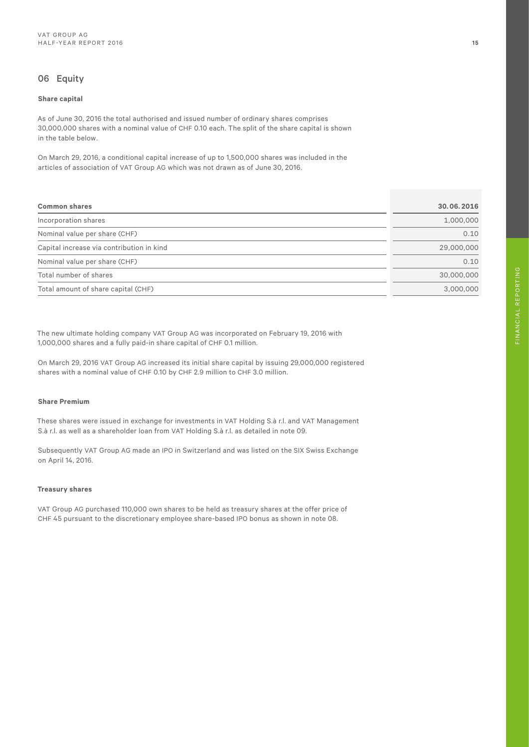# 06 Equity

#### **Share capital**

As of June 30, 2016 the total authorised and issued number of ordinary shares comprises 30,000,000 shares with a nominal value of CHF 0.10 each. The split of the share capital is shown in the table below.

On March 29, 2016, a conditional capital increase of up to 1,500,000 shares was included in the articles of association of VAT Group AG which was not drawn as of June 30, 2016.

| <b>Common shares</b>                      | 30.06.2016 |
|-------------------------------------------|------------|
| Incorporation shares                      | 1,000,000  |
| Nominal value per share (CHF)             | 0.10       |
| Capital increase via contribution in kind | 29,000,000 |
| Nominal value per share (CHF)             | 0.10       |
| Total number of shares                    | 30,000,000 |
| Total amount of share capital (CHF)       | 3.000.000  |

The new ultimate holding company VAT Group AG was incorporated on February 19, 2016 with 1,000,000 shares and a fully paid-in share capital of CHF 0.1 million.

On March 29, 2016 VAT Group AG increased its initial share capital by issuing 29,000,000 registered shares with a nominal value of CHF 0.10 by CHF 2.9 million to CHF 3.0 million.

### **Share Premium**

These shares were issued in exchange for investments in VAT Holding S.à r.l. and VAT Management S.à r.l. as well as a shareholder loan from VAT Holding S.à r.l. as detailed in note 09.

Subsequently VAT Group AG made an IPO in Switzerland and was listed on the SIX Swiss Exchange on April 14, 2016.

#### **Treasury shares**

VAT Group AG purchased 110,000 own shares to be held as treasury shares at the offer price of CHF 45 pursuant to the discretionary employee share-based IPO bonus as shown in note 08.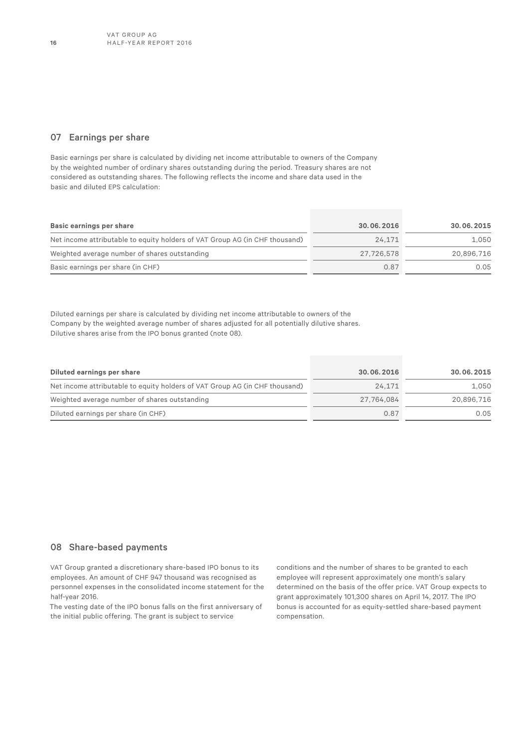### 07 Earnings per share

Basic earnings per share is calculated by dividing net income attributable to owners of the Company by the weighted number of ordinary shares outstanding during the period. Treasury shares are not considered as outstanding shares. The following reflects the income and share data used in the basic and diluted EPS calculation:

| Basic earnings per share                                                    | 30.06.2016 | 30.06.2015 |
|-----------------------------------------------------------------------------|------------|------------|
| Net income attributable to equity holders of VAT Group AG (in CHF thousand) | 24.171     | 1.050      |
| Weighted average number of shares outstanding                               | 27.726.578 | 20,896,716 |
| Basic earnings per share (in CHF)                                           | 0.87       | 0.05       |

Diluted earnings per share is calculated by dividing net income attributable to owners of the Company by the weighted average number of shares adjusted for all potentially dilutive shares. Dilutive shares arise from the IPO bonus granted (note 08).

| Diluted earnings per share                                                  | 30.06.2016 | 30.06.2015 |
|-----------------------------------------------------------------------------|------------|------------|
| Net income attributable to equity holders of VAT Group AG (in CHF thousand) | 24.171     | 1.050      |
| Weighted average number of shares outstanding                               | 27.764.084 | 20,896,716 |
| Diluted earnings per share (in CHF)                                         | 0.87       | 0.05       |

### 08 Share-based payments

VAT Group granted a discretionary share-based IPO bonus to its employees. An amount of CHF 947 thousand was recognised as personnel expenses in the consolidated income statement for the half-year 2016.

The vesting date of the IPO bonus falls on the first anniversary of the initial public offering. The grant is subject to service

conditions and the number of shares to be granted to each employee will represent approximately one month's salary determined on the basis of the offer price. VAT Group expects to grant approximately 101,300 shares on April 14, 2017. The IPO bonus is accounted for as equity-settled share-based payment compensation.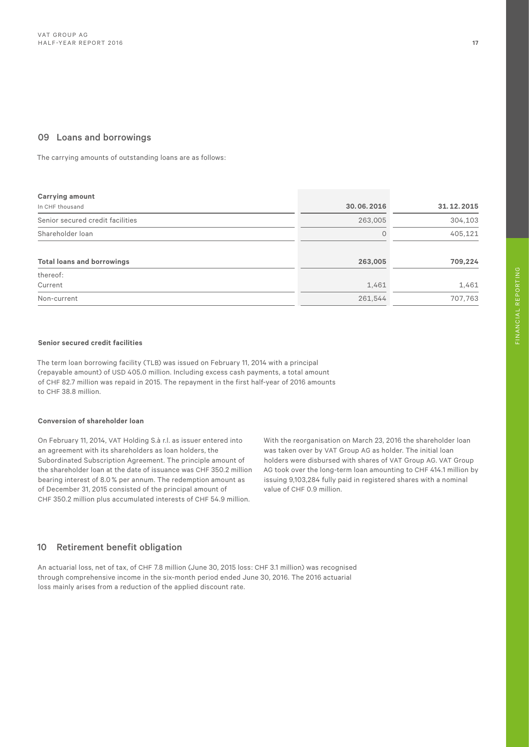### 09 Loans and borrowings

The carrying amounts of outstanding loans are as follows:

| 30.06.2016 | 31.12.2015 |
|------------|------------|
| 263,005    | 304,103    |
| 0          | 405,121    |
| 263,005    | 709,224    |
|            |            |
| 1,461      | 1,461      |
| 261,544    | 707,763    |
|            |            |

#### **Senior secured credit facilities**

The term loan borrowing facility (TLB) was issued on February 11, 2014 with a principal (repayable amount) of USD 405.0 million. Including excess cash payments, a total amount of CHF 82.7 million was repaid in 2015. The repayment in the first half-year of 2016 amounts to CHF 38.8 million.

#### **Conversion of shareholder loan**

On February 11, 2014, VAT Holding S.à r.l. as issuer entered into an agreement with its shareholders as loan holders, the Subordinated Subscription Agreement. The principle amount of the shareholder loan at the date of issuance was CHF 350.2 million bearing interest of 8.0 % per annum. The redemption amount as of December 31, 2015 consisted of the principal amount of CHF 350.2 million plus accumulated interests of CHF 54.9 million.

With the reorganisation on March 23, 2016 the shareholder loan was taken over by VAT Group AG as holder. The initial loan holders were disbursed with shares of VAT Group AG. VAT Group AG took over the long-term loan amounting to CHF 414.1 million by issuing 9,103,284 fully paid in registered shares with a nominal value of CHF 0.9 million.

# 10 Retirement benefit obligation

An actuarial loss, net of tax, of CHF 7.8 million (June 30, 2015 loss: CHF 3.1 million) was recognised through comprehensive income in the six-month period ended June 30, 2016. The 2016 actuarial loss mainly arises from a reduction of the applied discount rate.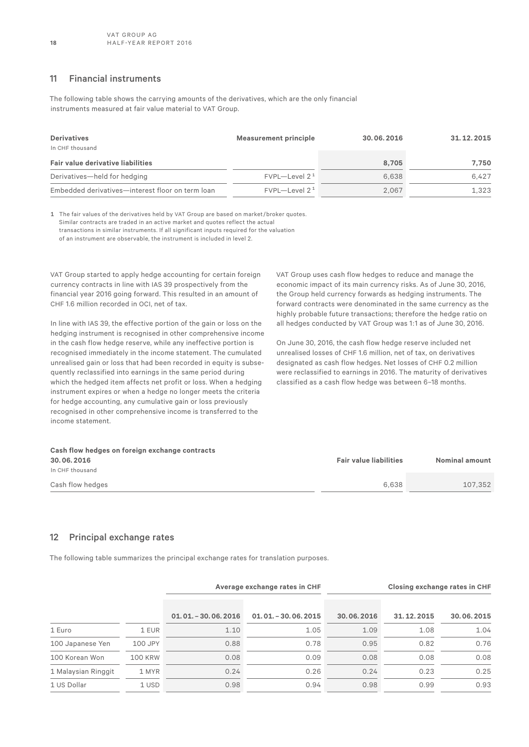### 11 Financial instruments

The following table shows the carrying amounts of the derivatives, which are the only financial instruments measured at fair value material to VAT Group.

| <b>Derivatives</b><br>In CHF thousand            | <b>Measurement principle</b> | 30.06.2016 | 31.12.2015 |  |
|--------------------------------------------------|------------------------------|------------|------------|--|
| <b>Fair value derivative liabilities</b>         |                              | 8.705      | 7.750      |  |
| Derivatives-held for hedging                     | $FVPL$ -Level $21$           | 6.638      | 6.427      |  |
| Embedded derivatives-interest floor on term loan | $FVPL$ -Level 2 <sup>1</sup> | 2,067      | 1,323      |  |

1 The fair values of the derivatives held by VAT Group are based on market/broker quotes. Similar contracts are traded in an active market and quotes reflect the actual transactions in similar instruments. If all significant inputs required for the valuation of an instrument are observable, the instrument is included in level 2.

VAT Group started to apply hedge accounting for certain foreign currency contracts in line with IAS 39 prospectively from the financial year 2016 going forward. This resulted in an amount of CHF 1.6 million recorded in OCI, net of tax.

In line with IAS 39, the effective portion of the gain or loss on the hedging instrument is recognised in other comprehensive income in the cash flow hedge reserve, while any ineffective portion is recognised immediately in the income statement. The cumulated unrealised gain or loss that had been recorded in equity is subsequently reclassified into earnings in the same period during which the hedged item affects net profit or loss. When a hedging instrument expires or when a hedge no longer meets the criteria for hedge accounting, any cumulative gain or loss previously recognised in other comprehensive income is transferred to the income statement.

VAT Group uses cash flow hedges to reduce and manage the economic impact of its main currency risks. As of June 30, 2016, the Group held currency forwards as hedging instruments. The forward contracts were denominated in the same currency as the highly probable future transactions; therefore the hedge ratio on all hedges conducted by VAT Group was 1:1 as of June 30, 2016.

On June 30, 2016, the cash flow hedge reserve included net unrealised losses of CHF 1.6 million, net of tax, on derivatives designated as cash flow hedges. Net losses of CHF 0.2 million were reclassified to earnings in 2016. The maturity of derivatives classified as a cash flow hedge was between 6–18 months.

| Cash flow hedges on foreign exchange contracts |                               |                |
|------------------------------------------------|-------------------------------|----------------|
| 30.06.2016                                     | <b>Fair value liabilities</b> | Nominal amount |
| In CHF thousand                                |                               |                |
| Cash flow hedges                               | 6.638                         | 107.352        |

# 12 Principal exchange rates

The following table summarizes the principal exchange rates for translation purposes.

|                     |                | Average exchange rates in CHF |                     |            | Closing exchange rates in CHF |            |
|---------------------|----------------|-------------------------------|---------------------|------------|-------------------------------|------------|
|                     |                | $01.01 - 30.06.2016$          | $01.01 - 30.062015$ | 30.06.2016 | 31.12.2015                    | 30.06.2015 |
| 1 Euro              | 1 EUR          | 1.10                          | 1.05                | 1.09       | 1.08                          | 1.04       |
| 100 Japanese Yen    | 100 JPY        | 0.88                          | 0.78                | 0.95       | 0.82                          | 0.76       |
| 100 Korean Won      | <b>100 KRW</b> | 0.08                          | 0.09                | 0.08       | 0.08                          | 0.08       |
| 1 Malaysian Ringgit | 1 MYR          | 0.24                          | 0.26                | 0.24       | 0.23                          | 0.25       |
| 1 US Dollar         | 1 USD          | 0.98                          | 0.94                | 0.98       | 0.99                          | 0.93       |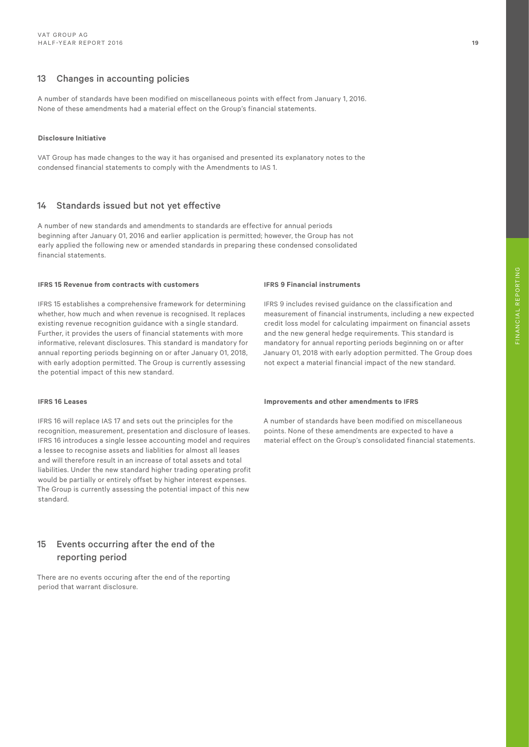# 13 Changes in accounting policies

A number of standards have been modified on miscellaneous points with effect from January 1, 2016. None of these amendments had a material effect on the Group's financial statements.

#### **Disclosure Initiative**

VAT Group has made changes to the way it has organised and presented its explanatory notes to the condensed financial statements to comply with the Amendments to IAS 1.

### 14 Standards issued but not yet effective

A number of new standards and amendments to standards are effective for annual periods beginning after January 01, 2016 and earlier application is permitted; however, the Group has not early applied the following new or amended standards in preparing these condensed consolidated financial statements.

#### **IFRS 15 Revenue from contracts with customers**

IFRS 15 establishes a comprehensive framework for determining whether, how much and when revenue is recognised. It replaces existing revenue recognition guidance with a single standard. Further, it provides the users of financial statements with more informative, relevant disclosures. This standard is mandatory for annual reporting periods beginning on or after January 01, 2018, with early adoption permitted. The Group is currently assessing the potential impact of this new standard.

#### **IFRS 16 Leases**

IFRS 16 will replace IAS 17 and sets out the principles for the recognition, measurement, presentation and disclosure of leases. IFRS 16 introduces a single lessee accounting model and requires a lessee to recognise assets and liablities for almost all leases and will therefore result in an increase of total assets and total liabilities. Under the new standard higher trading operating profit would be partially or entirely offset by higher interest expenses. The Group is currently assessing the potential impact of this new standard.

# 15 Events occurring after the end of the reporting period

There are no events occuring after the end of the reporting period that warrant disclosure.

#### **IFRS 9 Financial instruments**

IFRS 9 includes revised guidance on the classification and measurement of financial instruments, including a new expected credit loss model for calculating impairment on financial assets and the new general hedge requirements. This standard is mandatory for annual reporting periods beginning on or after January 01, 2018 with early adoption permitted. The Group does not expect a material financial impact of the new standard.

#### **Improvements and other amendments to IFRS**

A number of standards have been modified on miscellaneous points. None of these amendments are expected to have a material effect on the Group's consolidated financial statements.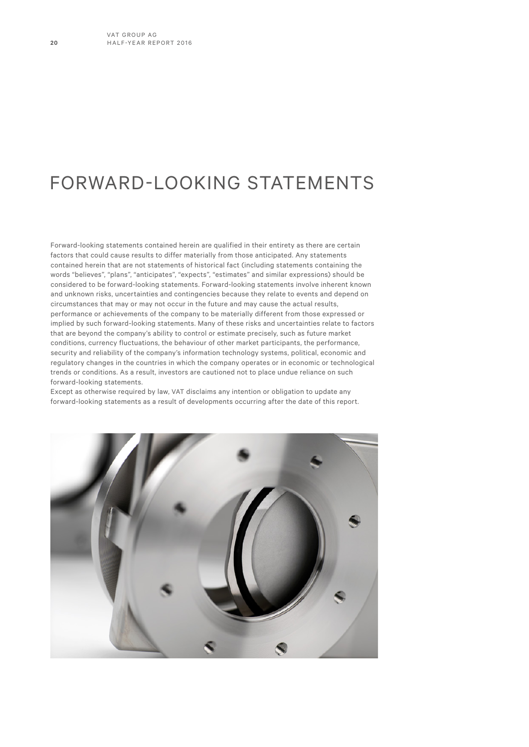# FORWARD-LOOKING STATEMENTS

Forward-looking statements contained herein are qualified in their entirety as there are certain factors that could cause results to differ materially from those anticipated. Any statements contained herein that are not statements of historical fact (including statements containing the words "believes", "plans", "anticipates", "expects", "estimates" and similar expressions) should be considered to be forward-looking statements. Forward-looking statements involve inherent known and unknown risks, uncertainties and contingencies because they relate to events and depend on circumstances that may or may not occur in the future and may cause the actual results, performance or achievements of the company to be materially different from those expressed or implied by such forward-looking statements. Many of these risks and uncertainties relate to factors that are beyond the company's ability to control or estimate precisely, such as future market conditions, currency fluctuations, the behaviour of other market participants, the performance, security and reliability of the company's information technology systems, political, economic and regulatory changes in the countries in which the company operates or in economic or technological trends or conditions. As a result, investors are cautioned not to place undue reliance on such forward-looking statements.

Except as otherwise required by law, VAT disclaims any intention or obligation to update any forward-looking statements as a result of developments occurring after the date of this report.

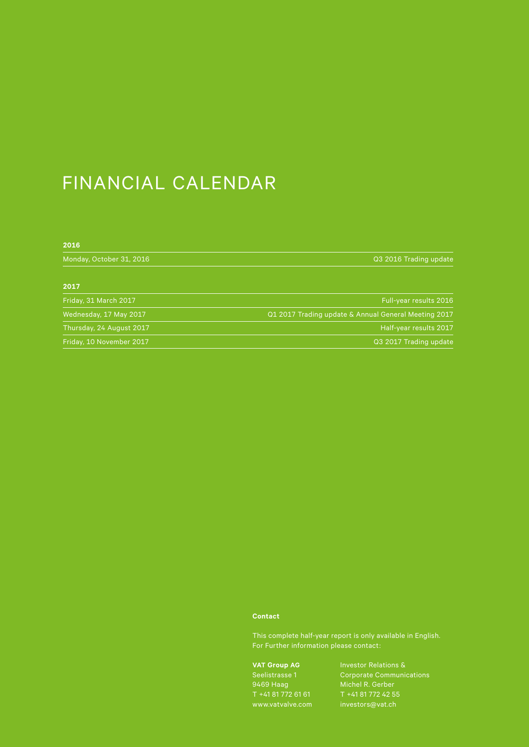# FINANCIAL CALENDAR

| 2016                     |                                                      |
|--------------------------|------------------------------------------------------|
| Monday, October 31, 2016 | Q3 2016 Trading update                               |
| 2017                     |                                                      |
| Friday, 31 March 2017    | Full-year results 2016                               |
| Wednesday, 17 May 2017   | Q1 2017 Trading update & Annual General Meeting 2017 |
| Thursday, 24 August 2017 | Half-year results 2017                               |
| Friday, 10 November 2017 | Q3 2017 Trading update                               |

### **Contact**

This complete half-year report is only available in English.

**VAT Group AG** Seelistrasse 1 9469 Haag

Corporate Communications Michel R. Gerber investors@vat.ch